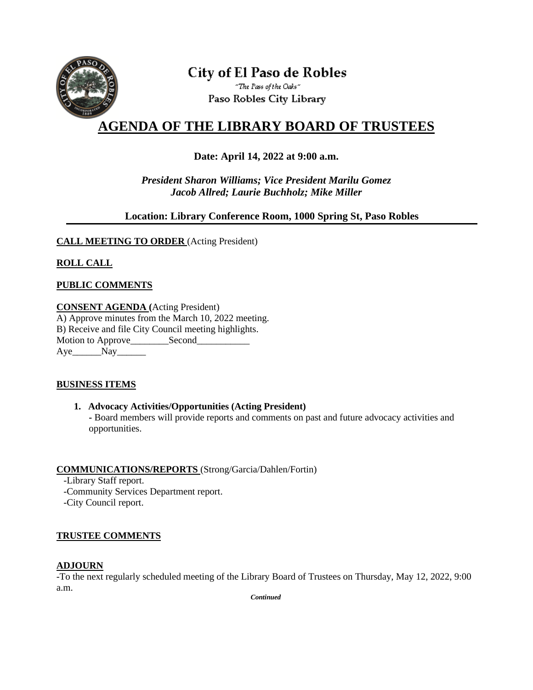

# **City of El Paso de Robles** "The Pass of the Oaks"

Paso Robles City Library

# **AGENDA OF THE LIBRARY BOARD OF TRUSTEES**

# **Date: April 14, 2022 at 9:00 a.m.**

*President Sharon Williams; Vice President Marilu Gomez Jacob Allred; Laurie Buchholz; Mike Miller*

## **Location: Library Conference Room, 1000 Spring St, Paso Robles**

## **CALL MEETING TO ORDER** (Acting President)

# **ROLL CALL**

## **PUBLIC COMMENTS**

**CONSENT AGENDA (**Acting President) A) Approve minutes from the March 10, 2022 meeting. B) Receive and file City Council meeting highlights. Motion to Approve\_\_\_\_\_\_\_\_Second\_\_\_\_\_\_\_\_\_\_\_ Aye Nay

#### **BUSINESS ITEMS**

#### **1. Advocacy Activities/Opportunities (Acting President)**

 **-** Board members will provide reports and comments on past and future advocacy activities and opportunities.

#### **COMMUNICATIONS/REPORTS** (Strong/Garcia/Dahlen/Fortin)

- -Library Staff report.
- -Community Services Department report.
- -City Council report.

#### **TRUSTEE COMMENTS**

#### **ADJOURN**

-To the next regularly scheduled meeting of the Library Board of Trustees on Thursday, May 12, 2022, 9:00 a.m.

*Continued*